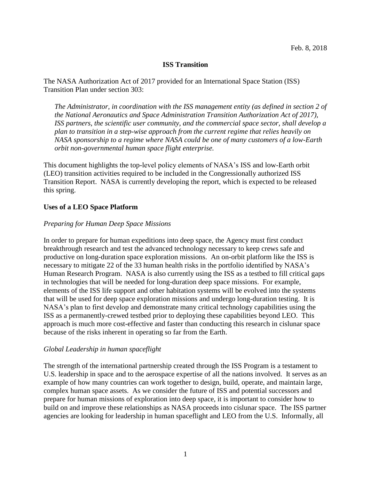### **ISS Transition**

The NASA Authorization Act of 2017 provided for an International Space Station (ISS) Transition Plan under section 303:

*The Administrator, in coordination with the ISS management entity (as defined in section 2 of the National Aeronautics and Space Administration Transition Authorization Act of 2017), ISS partners, the scientific user community, and the commercial space sector, shall develop a plan to transition in a step-wise approach from the current regime that relies heavily on NASA sponsorship to a regime where NASA could be one of many customers of a low-Earth orbit non-governmental human space flight enterprise.*

This document highlights the top-level policy elements of NASA's ISS and low-Earth orbit (LEO) transition activities required to be included in the Congressionally authorized ISS Transition Report. NASA is currently developing the report, which is expected to be released this spring.

### **Uses of a LEO Space Platform**

### *Preparing for Human Deep Space Missions*

In order to prepare for human expeditions into deep space, the Agency must first conduct breakthrough research and test the advanced technology necessary to keep crews safe and productive on long-duration space exploration missions. An on-orbit platform like the ISS is necessary to mitigate 22 of the 33 human health risks in the portfolio identified by NASA's Human Research Program. NASA is also currently using the ISS as a testbed to fill critical gaps in technologies that will be needed for long-duration deep space missions. For example, elements of the ISS life support and other habitation systems will be evolved into the systems that will be used for deep space exploration missions and undergo long-duration testing. It is NASA's plan to first develop and demonstrate many critical technology capabilities using the ISS as a permanently-crewed testbed prior to deploying these capabilities beyond LEO. This approach is much more cost-effective and faster than conducting this research in cislunar space because of the risks inherent in operating so far from the Earth.

### *Global Leadership in human spaceflight*

The strength of the international partnership created through the ISS Program is a testament to U.S. leadership in space and to the aerospace expertise of all the nations involved. It serves as an example of how many countries can work together to design, build, operate, and maintain large, complex human space assets. As we consider the future of ISS and potential successors and prepare for human missions of exploration into deep space, it is important to consider how to build on and improve these relationships as NASA proceeds into cislunar space. The ISS partner agencies are looking for leadership in human spaceflight and LEO from the U.S. Informally, all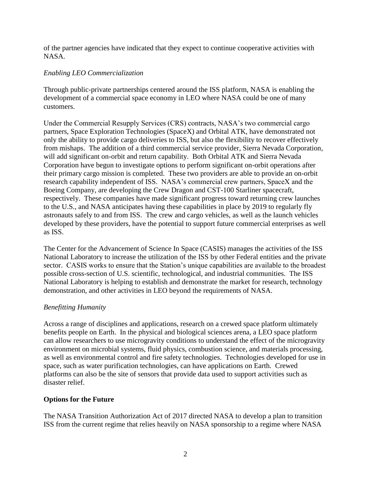of the partner agencies have indicated that they expect to continue cooperative activities with NASA.

## *Enabling LEO Commercialization*

Through public-private partnerships centered around the ISS platform, NASA is enabling the development of a commercial space economy in LEO where NASA could be one of many customers.

Under the Commercial Resupply Services (CRS) contracts, NASA's two commercial cargo partners, Space Exploration Technologies (SpaceX) and Orbital ATK, have demonstrated not only the ability to provide cargo deliveries to ISS, but also the flexibility to recover effectively from mishaps. The addition of a third commercial service provider, Sierra Nevada Corporation, will add significant on-orbit and return capability. Both Orbital ATK and Sierra Nevada Corporation have begun to investigate options to perform significant on-orbit operations after their primary cargo mission is completed. These two providers are able to provide an on-orbit research capability independent of ISS. NASA's commercial crew partners, SpaceX and the Boeing Company, are developing the Crew Dragon and CST-100 Starliner spacecraft, respectively. These companies have made significant progress toward returning crew launches to the U.S., and NASA anticipates having these capabilities in place by 2019 to regularly fly astronauts safely to and from ISS. The crew and cargo vehicles, as well as the launch vehicles developed by these providers, have the potential to support future commercial enterprises as well as ISS.

The Center for the Advancement of Science In Space (CASIS) manages the activities of the ISS National Laboratory to increase the utilization of the ISS by other Federal entities and the private sector. CASIS works to ensure that the Station's unique capabilities are available to the broadest possible cross-section of U.S. scientific, technological, and industrial communities. The ISS National Laboratory is helping to establish and demonstrate the market for research, technology demonstration, and other activities in LEO beyond the requirements of NASA.

## *Benefitting Humanity*

Across a range of disciplines and applications, research on a crewed space platform ultimately benefits people on Earth. In the physical and biological sciences arena, a LEO space platform can allow researchers to use microgravity conditions to understand the effect of the microgravity environment on microbial systems, fluid physics, combustion science, and materials processing, as well as environmental control and fire safety technologies. Technologies developed for use in space, such as water purification technologies, can have applications on Earth. Crewed platforms can also be the site of sensors that provide data used to support activities such as disaster relief.

## **Options for the Future**

The NASA Transition Authorization Act of 2017 directed NASA to develop a plan to transition ISS from the current regime that relies heavily on NASA sponsorship to a regime where NASA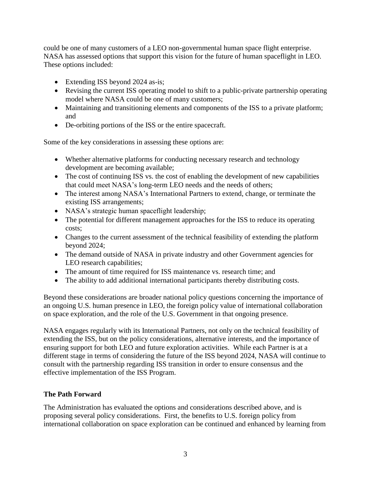could be one of many customers of a LEO non-governmental human space flight enterprise. NASA has assessed options that support this vision for the future of human spaceflight in LEO. These options included:

- Extending ISS beyond 2024 as-is;
- Revising the current ISS operating model to shift to a public-private partnership operating model where NASA could be one of many customers;
- Maintaining and transitioning elements and components of the ISS to a private platform; and
- De-orbiting portions of the ISS or the entire spacecraft.

Some of the key considerations in assessing these options are:

- Whether alternative platforms for conducting necessary research and technology development are becoming available;
- The cost of continuing ISS vs. the cost of enabling the development of new capabilities that could meet NASA's long-term LEO needs and the needs of others;
- The interest among NASA's International Partners to extend, change, or terminate the existing ISS arrangements;
- NASA's strategic human spaceflight leadership;
- The potential for different management approaches for the ISS to reduce its operating costs;
- Changes to the current assessment of the technical feasibility of extending the platform beyond 2024;
- The demand outside of NASA in private industry and other Government agencies for LEO research capabilities;
- The amount of time required for ISS maintenance vs. research time; and
- The ability to add additional international participants thereby distributing costs.

Beyond these considerations are broader national policy questions concerning the importance of an ongoing U.S. human presence in LEO, the foreign policy value of international collaboration on space exploration, and the role of the U.S. Government in that ongoing presence.

NASA engages regularly with its International Partners, not only on the technical feasibility of extending the ISS, but on the policy considerations, alternative interests, and the importance of ensuring support for both LEO and future exploration activities. While each Partner is at a different stage in terms of considering the future of the ISS beyond 2024, NASA will continue to consult with the partnership regarding ISS transition in order to ensure consensus and the effective implementation of the ISS Program.

# **The Path Forward**

The Administration has evaluated the options and considerations described above, and is proposing several policy considerations. First, the benefits to U.S. foreign policy from international collaboration on space exploration can be continued and enhanced by learning from